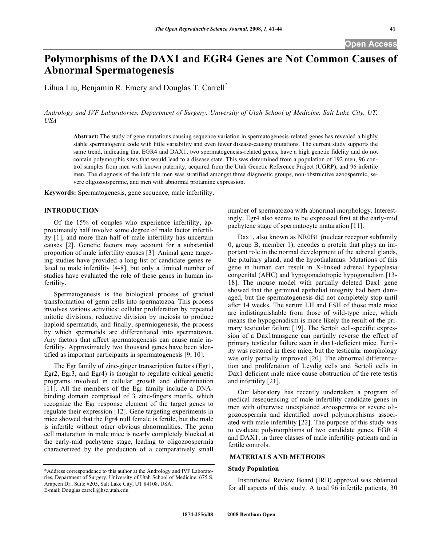# **Polymorphisms of the DAX1 and EGR4 Genes are Not Common Causes of Abnormal Spermatogenesis**

Lihua Liu, Benjamin R. Emery and Douglas T. Carrell\*

*Andrology and IVF Laboratories, Department of Surgery, University of Utah School of Medicine, Salt Lake City, UT, USA* 

**Abstract:** The study of gene mutations causing sequence variation in spermatogenesis-related genes has revealed a highly stable spermatogenic code with little variability and even fewer disease-causing mutations. The current study supports the same trend, indicating that EGR4 and DAX1, two spermatogenesis-related genes, have a high genetic fidelity and do not contain polymorphic sites that would lead to a disease state. This was determined from a population of 192 men, 96 control samples from men with known paternity, acquired from the Utah Genetic Reference Project (UGRP), and 96 infertile men. The diagnosis of the infertile men was stratified amongst three diagnostic groups, non-obstructive azoospermic, severe oligozoospermic, and men with abnormal protamine expression.

**Keywords:** Spermatogenesis, gene sequence, male infertility.

## **INTRODUCTION**

 Of the 15% of couples who experience infertility, approximately half involve some degree of male factor infertility [1], and more than half of male infertility has uncertain causes [2]. Genetic factors may account for a substantial proportion of male infertility causes [3]. Animal gene targeting studies have provided a long list of candidate genes related to male infertility [4-8], but only a limited number of studies have evaluated the role of these genes in human infertility.

 Spermatogenesis is the biological process of gradual transformation of germ cells into spermatozoa. This process involves various activities: cellular proliferation by repeated mitotic divisions, reductive division by meiosis to produce haploid spermatids, and finally, spermiogenesis, the process by which spermatids are differentiated into spermatozoa. Any factors that affect spermatogenesis can cause male infertility. Approximately two thousand genes have been identified as important participants in spermatogenesis [9, 10].

 The Egr family of zinc-ginger transcription factors (Egr1, Egr2, Egr3, and Egr4) is thought to regulate critical genetic programs involved in cellular growth and differentiation [11]. All the members of the Egr family include a DNAbinding domain comprised of 3 zinc-fingers motifs, which recognize the Egr response element of the target genes to regulate their expression [12]. Gene targeting experiments in mice showed that the Egr4 null female is fertile, but the male is infertile without other obvious abnormalities. The germ cell maturation in male mice is nearly completely blocked at the early-mid pachytene stage, leading to oligozoospermia characterized by the production of a comparatively small

number of spermatozoa with abnormal morphology. Interestingly, Egr4 also seems to be expressed first at the early-mid pachytene stage of spermatocyte maturation [11].

 Dax1, also known as NR0B1 (nuclear receptor subfamily 0, group B, member 1), encodes a protein that plays an important role in the normal development of the adrenal glands, the pituitary gland, and the hypothalamus. Mutations of this gene in human can result in X-linked adrenal hypoplasia congenital (AHC) and hypogonadotropic hypogonadism [13- 18]. The mouse model with partially deleted Dax1 gene showed that the germinal epithelial integrity had been damaged, but the spermatogenesis did not completely stop until after 14 weeks. The serum LH and FSH of those male mice are indistinguishable from those of wild-type mice, which means the hypogonadism is more likely the result of the primary testicular failure [19]. The Sertoli cell-specific expression of a Dax1transgene can partially reverse the effect of primary testicular failure seen in dax1-deficient mice. Fertility was restored in these mice, but the testicular morphology was only partially improved [20]. The abnormal differentiation and proliferation of Leydig cells and Sertoli cells in Dax1 deficient male mice cause obstruction of the rete testis and infertility [21].

 Our laboratory has recently undertaken a program of medical resequencing of male infertility candidate genes in men with otherwise unexplained azoospermia or severe oligozoospermia and identified novel polymorphisms associated with male infertility [22]. The purpose of this study was to evaluate polymorphisms of two candidate genes, EGR 4 and DAX1, in three classes of male infertility patients and in fertile controls.

# **MATERIALS AND METHODS**

### **Study Population**

 Institutional Review Board (IRB) approval was obtained for all aspects of this study. A total 96 infertile patients, 30

<sup>\*</sup>Address correspondence to this author at the Andrology and IVF Laboratories, Department of Surgery, University of Utah School of Medicine, 675 S. Arapeen Dr., Suite #205, Salt Lake City, UT 84108, USA; E-mail: Douglas.carrell@hsc.utah.edu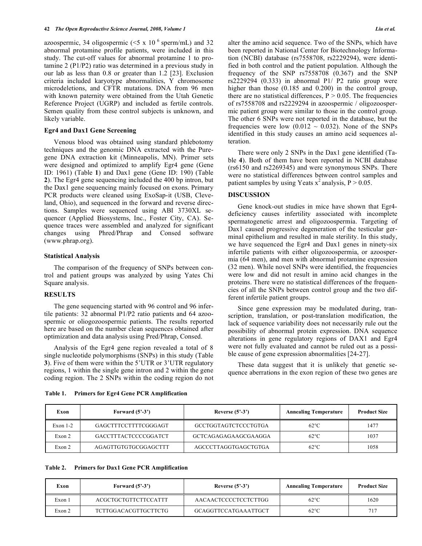azoospermic, 34 oligospermic ( $\leq 5 \times 10^{-6}$  sperm/mL) and 32 abnormal protamine profile patients, were included in this study. The cut-off values for abnormal protamine 1 to protamine 2 (P1/P2) ratio was determined in a previous study in our lab as less than 0.8 or greater than 1.2 [23]. Exclusion criteria included karyotype abnormalities, Y chromosome microdeletions, and CFTR mutations. DNA from 96 men with known paternity were obtained from the Utah Genetic Reference Project (UGRP) and included as fertile controls. Semen quality from these control subjects is unknown, and likely variable.

### **Egr4 and Dax1 Gene Screening**

 Venous blood was obtained using standard phlebotomy techniques and the genomic DNA extracted with the Puregene DNA extraction kit (Minneapolis, MN). Primer sets were designed and optimized to amplify Egr4 gene (Gene ID: 1961) (Table **1**) and Dax1 gene (Gene ID: 190) (Table **2**). The Egr4 gene sequencing included the 400 bp intron, but the Dax1 gene sequencing mainly focused on exons. Primary PCR products were cleaned using ExoSap-it (USB, Cleveland, Ohio), and sequenced in the forward and reverse directions. Samples were sequenced using ABI 3730XL sequencer (Applied Biosystems, Inc., Foster City, CA). Sequence traces were assembled and analyzed for significant changes using Phred/Phrap and Consed software (www.phrap.org).

#### **Statistical Analysis**

 The comparison of the frequency of SNPs between control and patient groups was analyzed by using Yates Chi Square analysis.

# **RESULTS**

 The gene sequencing started with 96 control and 96 infertile patients: 32 abnormal P1/P2 ratio patients and 64 azoospermic or oliogozoospermic patients. The results reported here are based on the number clean sequences obtained after optimization and data analysis using Pred/Phrap, Consed.

 Analysis of the Egr4 gene region revealed a total of 8 single nucleotide polymorphisms (SNPs) in this study (Table **3**). Five of them were within the 5'UTR or 3'UTR regulatory regions, 1 within the single gene intron and 2 within the gene coding region. The 2 SNPs within the coding region do not

alter the amino acid sequence. Two of the SNPs, which have been reported in National Center for Biotechnology Information (NCBI) database (rs7558708, rs2229294), were identified in both control and the patient population. Although the frequency of the SNP rs7558708 (0.367) and the SNP rs2229294 (0.333) in abnormal P1/ P2 ratio group were higher than those (0.185 and 0.200) in the control group, there are no statistical differences,  $P > 0.05$ . The frequencies of rs7558708 and rs2229294 in azoospermic / oligozoospermic patient group were similar to those in the control group. The other 6 SNPs were not reported in the database, but the frequencies were low  $(0.012 \sim 0.032)$ . None of the SNPs identified in this study causes an amino acid sequences alteration.

 There were only 2 SNPs in the Dax1 gene identified (Table **4**). Both of them have been reported in NCBI database (rs6150 and rs2269345) and were synonymous SNPs. There were no statistical differences between control samples and patient samples by using Yeats  $x^2$  analysis,  $P > 0.05$ .

## **DISCUSSION**

 Gene knock-out studies in mice have shown that Egr4 deficiency causes infertility associated with incomplete spermatogenetic arrest and oligozoospermia. Targeting of Dax1 caused progressive degeneration of the testicular germinal epithelium and resulted in male sterility. In this study, we have sequenced the Egr4 and Dax1 genes in ninety-six infertile patients with either oligozoospermia, or azoospermia (64 men), and men with abnormal protamine expression (32 men). While novel SNPs were identified, the frequencies were low and did not result in amino acid changes in the proteins. There were no statistical differences of the frequencies of all the SNPs between control group and the two different infertile patient groups.

 Since gene expression may be modulated during, transcription, translation, or post-translation modification, the lack of sequence variability does not necessarily rule out the possibility of abnormal protein expression. DNA sequence alterations in gene regulatory regions of DAX1 and Egr4 were not fully evaluated and cannot be ruled out as a possible cause of gene expression abnormalities [24-27].

 These data suggest that it is unlikely that genetic sequence aberrations in the exon region of these two genes are

| <b>Primers for Egr4 Gene PCR Amplification</b><br>Table 1. |  |
|------------------------------------------------------------|--|
|------------------------------------------------------------|--|

| Exon       | Forward $(5^2-3^2)$         | Reverse $(5^2-3^2)$  |                | <b>Product Size</b> |
|------------|-----------------------------|----------------------|----------------|---------------------|
| Exon $1-2$ | GAGCTTTCCTTTTCGGGAGT        | GCCTGGTAGTCTCCCTGTGA | $62^{\circ}$ C | 1477                |
| Exon 2     | <b>GACCTTTACTCCCCGGATCT</b> | GCTCAGAGAGAAGCGAAGGA | $62^{\circ}$ C | 1037                |
| Exon 2     | AGAGTTGTGTGCGGAGCTTT        | AGCCCTTAGGTGAGCTGTGA | $62^{\circ}$ C | 1058                |

### **Table 2. Primers for Dax1 Gene PCR Amplification**

| Exon   | Forward $(5^2-3^2)$         | Reverse $(5^{\circ}-3^{\circ})$ | <b>Annealing Temperature</b> | <b>Product Size</b> |
|--------|-----------------------------|---------------------------------|------------------------------|---------------------|
| Exon 1 | <b>ACGCTGCTGTTCTTCCATTT</b> | AACAACTCCCCTCCTCTTGG            | $62^{\circ}$ C               | 1620                |
| Exon 2 | TCTTGGACACGTTGCTTCTG        | <b>GCAGGTTCCATGAAATTGCT</b>     | $62^{\circ}$ C               | 717                 |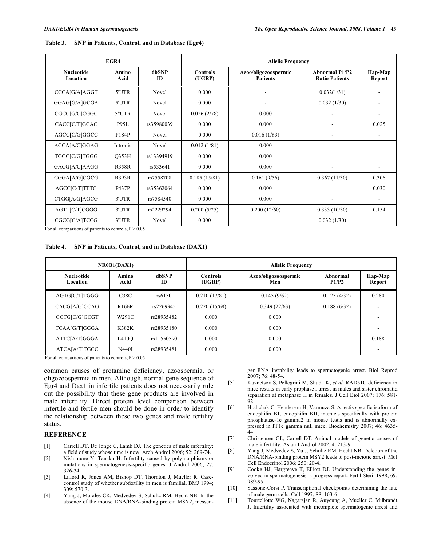| EGR4                          |               |                    | <b>Allelic Frequency</b>  |                                         |                                                |                   |  |
|-------------------------------|---------------|--------------------|---------------------------|-----------------------------------------|------------------------------------------------|-------------------|--|
| <b>Nucleotide</b><br>Location | Amino<br>Acid | dbSNP<br><b>ID</b> | <b>Controls</b><br>(UGRP) | Azoo/oligozoospermic<br><b>Patients</b> | <b>Abnormal P1/P2</b><br><b>Ratio Patients</b> | Hap-Map<br>Report |  |
| CCCA[G/A]AGGT                 | 5'UTR         | Novel              | 0.000                     |                                         | 0.032(1/31)                                    |                   |  |
| GGAG[G/A]GCGA                 | 5'UTR         | Novel              | 0.000                     |                                         | 0.032(1/30)                                    |                   |  |
| CGCC[G/C]CGGC                 | 5"UTR         | Novel              | 0.026(2/78)               | 0.000                                   |                                                |                   |  |
| CACC[C/T]GCAC                 | P95L          | rs35980039         | 0.000                     | 0.000                                   |                                                | 0.025             |  |
| AGCC[C/G]GGCC                 | P184P         | Novel              | 0.000                     | 0.016(1/63)                             |                                                |                   |  |
| ACCA[A/C]GGAG                 | Intronic      | Novel              | 0.012(1/81)               | 0.000                                   | Ē,                                             |                   |  |
| TGGC[C/G]TGGG                 | Q353H         | rs13394919         | 0.000                     | 0.000                                   |                                                |                   |  |
| GACG[A/C]AAGG                 | <b>R358R</b>  | rs533641           | 0.000                     | 0.000                                   |                                                |                   |  |
| CGGA[A/G]CGCG                 | <b>R393R</b>  | rs7558708          | 0.185(15/81)              | 0.161(9/56)                             | 0.367(11/30)                                   | 0.306             |  |
| AGCC[C/T]TTTG                 | P437P         | rs35362064         | 0.000                     | 0.000                                   |                                                | 0.030             |  |
| CTGG[A/G]AGCG                 | 3'UTR         | rs7584540          | 0.000                     | 0.000                                   |                                                | ٠                 |  |
| AGTT[C/T]CGGG                 | 3'UTR         | rs2229294          | 0.200(5/25)               | 0.200(12/60)                            | 0.333(10/30)                                   | 0.154             |  |
| CGCG[C/A]TCCG                 | 3'UTR         | Novel              | 0.000                     |                                         | 0.032(1/30)                                    |                   |  |

| Table 3. SNP in Patients, Control, and in Database (Egr4) |
|-----------------------------------------------------------|
|-----------------------------------------------------------|

For all comparisons of patients to controls,  $P > 0.05$ 

#### **Table 4. SNP in Patients, Control, and in Database (DAX1)**

| NR0B1(DAX1)                   |                    |                    | <b>Allelic Frequency</b>  |                             |                   |                   |
|-------------------------------|--------------------|--------------------|---------------------------|-----------------------------|-------------------|-------------------|
| <b>Nucleotide</b><br>Location | Amino<br>Acid      | dbSNP<br><b>ID</b> | <b>Controls</b><br>(UGRP) | Azoo/oligozoospermic<br>Men | Abnormal<br>P1/P2 | Hap-Map<br>Report |
| AGTG[C/T]TGGG                 | C38C               | rs6150             | 0.210(17/81)              | 0.145(9/62)                 | 0.125(4/32)       | 0.280             |
| CACG[A/G]CCAG                 | R <sub>166</sub> R | rs2269345          | 0.220(15/68)              | 0.349(22/63)                | 0.188(6/32)       |                   |
| GCTG[C/G]GCGT                 | W291C              | rs28935482         | 0.000                     | 0.000                       |                   |                   |
| TCAA[G/T]GGGA                 | K382K              | rs28935180         | 0.000                     | 0.000                       |                   |                   |
| ATTC[A/T]GGGA                 | L410O              | rs11550590         | 0.000                     | 0.000                       |                   | 0.188             |
| ATCA[A/T]TGCC                 | N440I              | rs28935481         | 0.000                     | 0.000                       |                   |                   |

For all comparisons of patients to controls,  $P > 0.05$ 

common causes of protamine deficiency, azoospermia, or oligozoospermia in men. Although, normal gene sequence of Egr4 and Dax1 in infertile patients does not necessarily rule out the possibility that these gene products are involved in male infertility. Direct protein level comparison between infertile and fertile men should be done in order to identify the relationship between these two genes and male fertility status.

## **REFERENCE**

- [1] Carrell DT, De Jonge C, Lamb DJ. The genetics of male infertility: a field of study whose time is now. Arch Androl 2006; 52: 269-74.
- [2] Nishimune Y, Tanaka H. Infertility caused by polymorphisms or mutations in spermatogenesis-specific genes. J Androl 2006; 27: 326-34.
- [3] Lilford R, Jones AM, Bishop DT, Thornton J, Mueller R. Casecontrol study of whether subfertility in men is familial. BMJ 1994; 309: 570-3.
- [4] Yang J, Morales CR, Medvedev S, Schultz RM, Hecht NB. In the absence of the mouse DNA/RNA-binding protein MSY2, messen-

ger RNA instability leads to spermatogenic arrest. Biol Reprod 2007; 76: 48-54.

- [5] Kuznetsov S, Pellegrini M, Shuda K, *et al.* RAD51C deficiency in mice results in early prophase I arrest in males and sister chromatid separation at metaphase II in females. J Cell Biol 2007; 176: 581- 92.
- [6] Hrabchak C, Henderson H, Varmuza S. A testis specific isoform of endophilin B1, endophilin B1t, interacts specifically with protein phosphatase-1c gamma2 in mouse testis and is abnormally expressed in PP1c gamma null mice. Biochemistry 2007; 46: 4635- 44.
- [7] Christensen GL, Carrell DT. Animal models of genetic causes of male infertility. Asian J Androl 2002; 4: 213-9.
- [8] Yang J, Medvedev S, Yu J, Schultz RM, Hecht NB. Deletion of the DNA/RNA-binding protein MSY2 leads to post-meiotic arrest. Mol Cell Endocrinol 2006; 250: 20-4.
- [9] Cooke HJ, Hargreave T, Elliott DJ. Understanding the genes involved in spermatogenesis: a progress report. Fertil Steril 1998; 69: 989-95.
- [10] Sassone-Corsi P. Transcriptional checkpoints determining the fate of male germ cells. Cell 1997; 88: 163-6.
- [11] Tourtellotte WG, Nagarajan R, Auyeung A, Mueller C, Milbrandt J. Infertility associated with incomplete spermatogenic arrest and